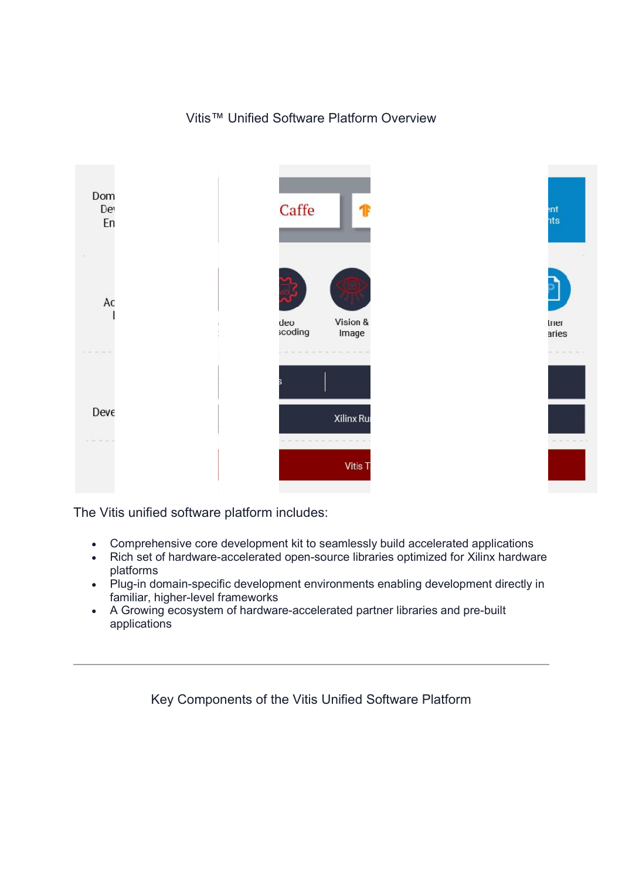# Vitis™ Unified Software Platform Overview



The Vitis unified software platform includes:

- Comprehensive core development kit to seamlessly build accelerated applications
- Rich set of hardware-accelerated open-source libraries optimized for Xilinx hardware platforms
- Plug-in domain-specific development environments enabling development directly in familiar, higher-level frameworks Iug-in domain-specific development environments enabling developme<br>familiar, higher-level frameworks<br>A Growing ecosystem of hardware-accelerated partner libraries and pre pen-source libraries optimized for Xilinx ha<br>nt environments enabling development dir<br>accelerated partner libraries and pre-built
- applications

Key Components of the Vitis Unified Software Platform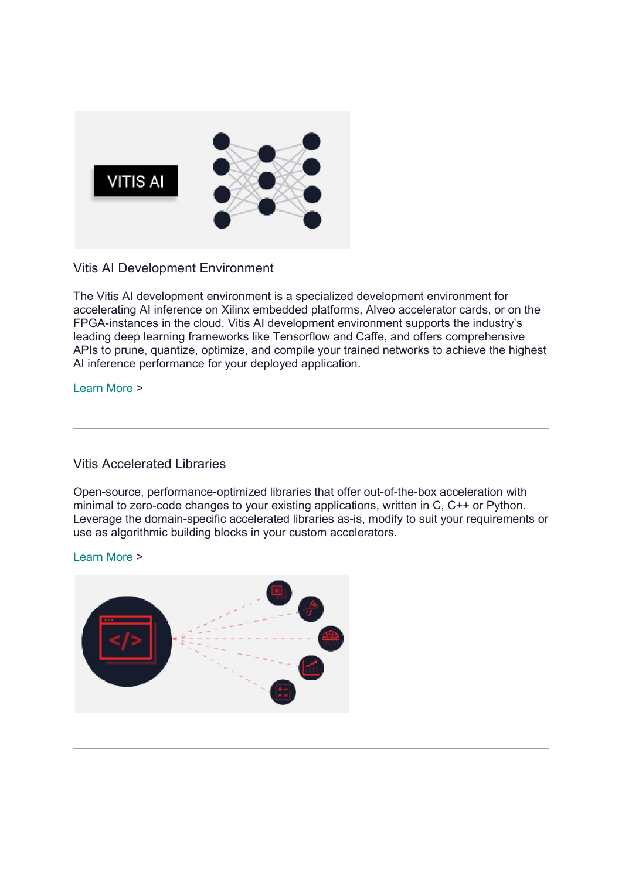

Vitis AI Development Environment

The Vitis AI development environment is a specialized development environment for accelerating AI inference on Xilinx embedded platforms, Alveo accelerator cards, or on the FPGA-instances in the cloud. Vitis AI development environment supports the industry's leading deep learning frameworks like Tensorflow and Caffe, and offers comprehensive APIs to prune, quantize, optimize, and compile your trained networks to achieve the highest AI inference performance for your deployed application. Vitis AI Development Environment<br>The Vitis AI development environment is a specialized development environment for<br>accelerating AI inference on Xilinx embedded platforms, Alveo accelerator cards, or on<br>FPGA-instances in th ment is a specialized development environment for<br>x embedded platforms, Alveo accelerator cards, or on<br>s Al development environment supports the industry's<br>s like Tensorflow and Caffe, and offers comprehensive<br>i, and compi

#### Learn More >

### Vitis Accelerated Libraries

Open-source, performance-optimized libraries that offer out minimal to zero-code changes to your existing applications, written in C, C++ or Python. minimal to zero-code changes to your existing applications, written in C, C++ or Python.<br>Leverage the domain-specific accelerated libraries as-is, modify to suit your requirements or use as algorithmic building blocks in your custom accelerators. Al inference performance for your deployed application.<br>Learn More ><br>Vitis Accelerated Libraries<br>Open-source, performance-optimized libraries that offer out-of-the-box acceleration with

#### Learn More >

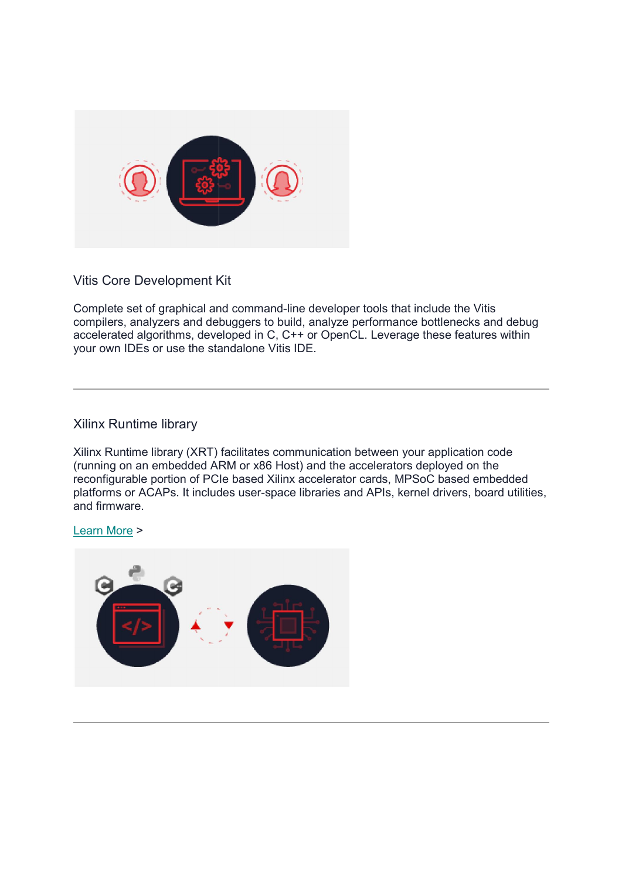

Vitis Core Development Kit

Vitis Core Development Kit<br>Complete set of graphical and command-line developer tools that include the Vitis compilers, analyzers and debuggers to build, analyze performance bottlenecks and debug accelerated algorithms, developed in C, C++ or OpenCL. Leverage these features within your own IDEs or use the standalone Vitis IDE. mand-line developer<br>rs to build, analyze p<br>in C, C++ or OpenC<br>ne Vitis IDE.<br>tes communication b<br>x86 Host) and the ac<br>ed Xilinx accelerator

# Xilinx Runtime library

Xilinx Runtime library (XRT) facilitates communication between your application code (running on an embedded ARM or x86 Host) and the accelerators deployed on the reconfigurable portion of PCIe based Xilinx accelerator cards, MPSoC based embedded reconfigurable portion of PCIe based Xilinx accelerator cards, MPSoC based embedded<br>platforms or ACAPs. It includes user-space libraries and APIs, kernel drivers, board utilities, and firmware.

#### Learn More >

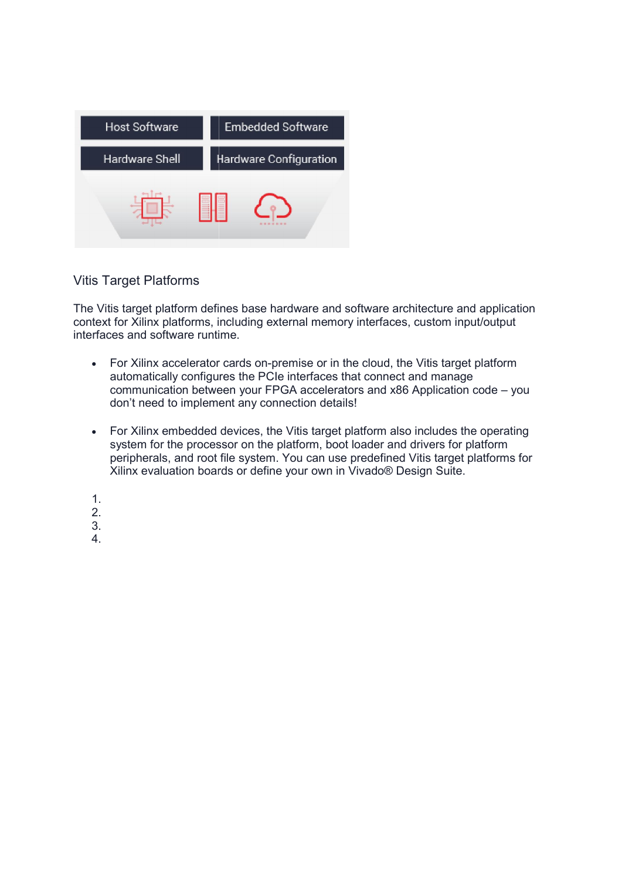

## Vitis Target Platforms

The Vitis target platform defines base hardware and software architecture and application context for Xilinx platforms, including external memory interfaces, custom input/output interfaces and software runtime. se hardware and software architecture and applicat<br>ig external memory interfaces, custom input/output<br>on-premise or in the cloud, the Vitis target platform

- For Xilinx accelerator cards on-premise or in the cloud, the Vitis target platform automatically configures the PCIe interfaces that connect and manage communication between your FPGA accelerators and x86 Application code don't need to implement any connection details! es that connect and manage<br>lerators and x86 Application code –<br>etails!<br>get platform also includes the opera<br>boot loader and drivers for platform x86 Application code – you
- For Xilinx embedded devices, the Vitis target platform also includes the operating system for the processor on the platform, boot loader and drivers for platform peripherals, and root file system. You can use predefined Vitis target platforms for Xilinx evaluation boards or define your own in Vivado® Design Suite. cards on-premise or in the cloud, the Vitis target platform<br>res the PCIe interfaces that connect and manage<br>een your FPGA accelerators and x86 Application code – you<br>ent any connection details!<br>devices, the Vitis target pl
- 1.
- 2.
- 3.
- 4.